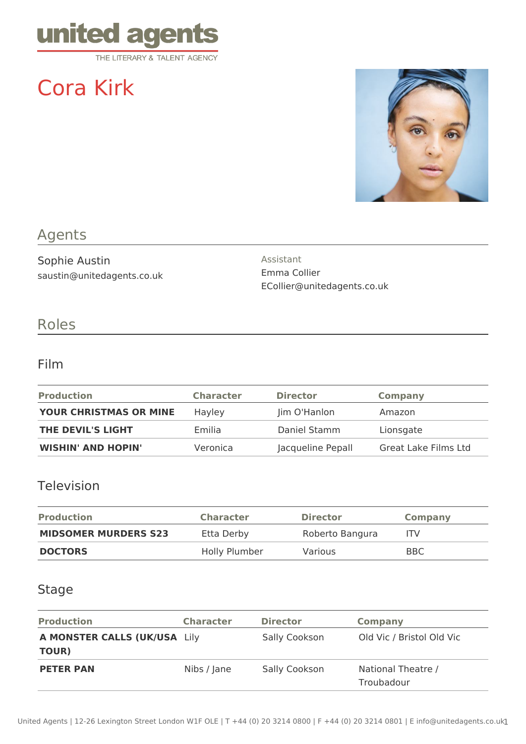

# Cora Kirk



## Agents

Sophie Austin saustin@unitedagents.co.uk Assistant Emma Collier ECollier@unitedagents.co.uk

# Roles

#### Film

| <b>Production</b>         | <b>Character</b> | <b>Director</b>   | <b>Company</b>       |
|---------------------------|------------------|-------------------|----------------------|
| YOUR CHRISTMAS OR MINE    | Hayley           | Jim O'Hanlon      | Amazon               |
| THE DEVIL'S LIGHT         | Emilia           | Daniel Stamm      | Lionsgate            |
| <b>WISHIN' AND HOPIN'</b> | Veronica         | Jacqueline Pepall | Great Lake Films Ltd |

## Television

| <b>Production</b>           | <b>Character</b> | <b>Director</b> | <b>Company</b> |
|-----------------------------|------------------|-----------------|----------------|
| <b>MIDSOMER MURDERS S23</b> | Etta Derby       | Roberto Bangura | <b>ITV</b>     |
| <b>DOCTORS</b>              | Holly Plumber    | <b>Various</b>  | BBC.           |

## Stage

| <b>Production</b>                     | <b>Character</b> | <b>Director</b> | <b>Company</b>                   |
|---------------------------------------|------------------|-----------------|----------------------------------|
| A MONSTER CALLS (UK/USA Lily<br>TOUR) |                  | Sally Cookson   | Old Vic / Bristol Old Vic        |
| <b>PETER PAN</b>                      | Nibs / Jane      | Sally Cookson   | National Theatre /<br>Troubadour |